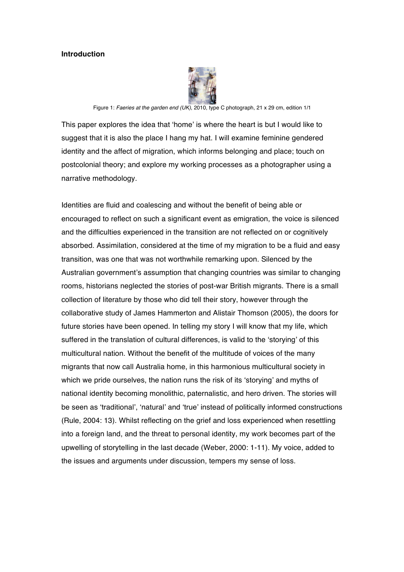#### **Introduction**



Figure 1: *Faeries at the garden end (UK)*, 2010, type C photograph, 21 x 29 cm, edition 1/1

This paper explores the idea that 'home' is where the heart is but I would like to suggest that it is also the place I hang my hat. I will examine feminine gendered identity and the affect of migration, which informs belonging and place; touch on postcolonial theory; and explore my working processes as a photographer using a narrative methodology.

Identities are fluid and coalescing and without the benefit of being able or encouraged to reflect on such a significant event as emigration, the voice is silenced and the difficulties experienced in the transition are not reflected on or cognitively absorbed. Assimilation, considered at the time of my migration to be a fluid and easy transition, was one that was not worthwhile remarking upon. Silenced by the Australian government's assumption that changing countries was similar to changing rooms, historians neglected the stories of post-war British migrants. There is a small collection of literature by those who did tell their story, however through the collaborative study of James Hammerton and Alistair Thomson (2005), the doors for future stories have been opened. In telling my story I will know that my life, which suffered in the translation of cultural differences, is valid to the 'storying' of this multicultural nation. Without the benefit of the multitude of voices of the many migrants that now call Australia home, in this harmonious multicultural society in which we pride ourselves, the nation runs the risk of its 'storying' and myths of national identity becoming monolithic, paternalistic, and hero driven. The stories will be seen as 'traditional', 'natural' and 'true' instead of politically informed constructions (Rule, 2004: 13). Whilst reflecting on the grief and loss experienced when resettling into a foreign land, and the threat to personal identity, my work becomes part of the upwelling of storytelling in the last decade (Weber, 2000: 1-11). My voice, added to the issues and arguments under discussion, tempers my sense of loss.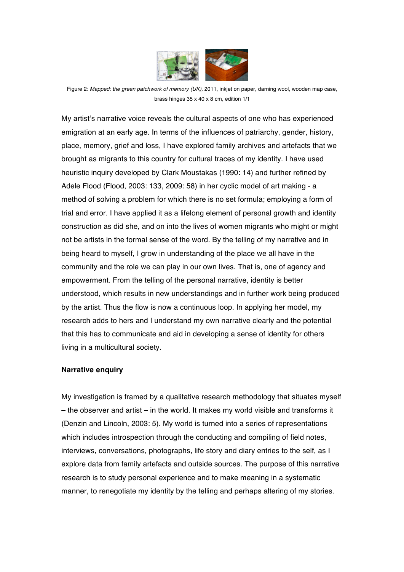

Figure 2: *Mapped: the green patchwork of memory (UK),* 2011, inkjet on paper, darning wool, wooden map case, brass hinges 35 x 40 x 8 cm, edition 1/1

My artist's narrative voice reveals the cultural aspects of one who has experienced emigration at an early age. In terms of the influences of patriarchy, gender, history, place, memory, grief and loss, I have explored family archives and artefacts that we brought as migrants to this country for cultural traces of my identity. I have used heuristic inquiry developed by Clark Moustakas (1990: 14) and further refined by Adele Flood (Flood, 2003: 133, 2009: 58) in her cyclic model of art making - a method of solving a problem for which there is no set formula; employing a form of trial and error. I have applied it as a lifelong element of personal growth and identity construction as did she, and on into the lives of women migrants who might or might not be artists in the formal sense of the word. By the telling of my narrative and in being heard to myself, I grow in understanding of the place we all have in the community and the role we can play in our own lives. That is, one of agency and empowerment. From the telling of the personal narrative, identity is better understood, which results in new understandings and in further work being produced by the artist. Thus the flow is now a continuous loop. In applying her model, my research adds to hers and I understand my own narrative clearly and the potential that this has to communicate and aid in developing a sense of identity for others living in a multicultural society.

## **Narrative enquiry**

My investigation is framed by a qualitative research methodology that situates myself – the observer and artist – in the world. It makes my world visible and transforms it (Denzin and Lincoln, 2003: 5). My world is turned into a series of representations which includes introspection through the conducting and compiling of field notes, interviews, conversations, photographs, life story and diary entries to the self, as I explore data from family artefacts and outside sources. The purpose of this narrative research is to study personal experience and to make meaning in a systematic manner, to renegotiate my identity by the telling and perhaps altering of my stories.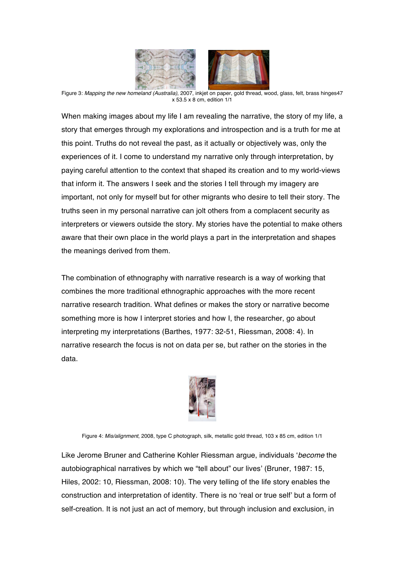

Figure 3: *Mapping the new homeland (Australia)*, 2007, inkjet on paper, gold thread, wood, glass, felt, brass hinges47 x 53.5 x 8 cm, edition 1/1

When making images about my life I am revealing the narrative, the story of my life, a story that emerges through my explorations and introspection and is a truth for me at this point. Truths do not reveal the past, as it actually or objectively was, only the experiences of it. I come to understand my narrative only through interpretation, by paying careful attention to the context that shaped its creation and to my world-views that inform it. The answers I seek and the stories I tell through my imagery are important, not only for myself but for other migrants who desire to tell their story. The truths seen in my personal narrative can jolt others from a complacent security as interpreters or viewers outside the story. My stories have the potential to make others aware that their own place in the world plays a part in the interpretation and shapes the meanings derived from them.

The combination of ethnography with narrative research is a way of working that combines the more traditional ethnographic approaches with the more recent narrative research tradition. What defines or makes the story or narrative become something more is how I interpret stories and how I, the researcher, go about interpreting my interpretations (Barthes, 1977: 32-51, Riessman, 2008: 4). In narrative research the focus is not on data per se, but rather on the stories in the data.



Figure 4: *Mis/alignment*, 2008, type C photograph, silk, metallic gold thread, 103 x 85 cm, edition 1/1

Like Jerome Bruner and Catherine Kohler Riessman argue, individuals '*become* the autobiographical narratives by which we "tell about" our lives' (Bruner, 1987: 15, Hiles, 2002: 10, Riessman, 2008: 10). The very telling of the life story enables the construction and interpretation of identity. There is no 'real or true self' but a form of self-creation. It is not just an act of memory, but through inclusion and exclusion, in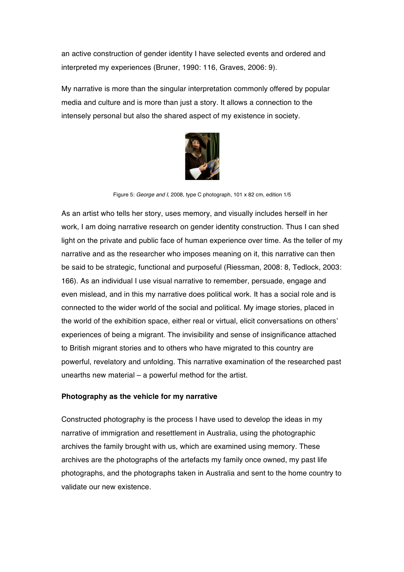an active construction of gender identity I have selected events and ordered and interpreted my experiences (Bruner, 1990: 116, Graves, 2006: 9).

My narrative is more than the singular interpretation commonly offered by popular media and culture and is more than just a story. It allows a connection to the intensely personal but also the shared aspect of my existence in society.



Figure 5: *George and I*, 2008, type C photograph, 101 x 82 cm, edition 1/5

As an artist who tells her story, uses memory, and visually includes herself in her work, I am doing narrative research on gender identity construction. Thus I can shed light on the private and public face of human experience over time. As the teller of my narrative and as the researcher who imposes meaning on it, this narrative can then be said to be strategic, functional and purposeful (Riessman, 2008: 8, Tedlock, 2003: 166). As an individual I use visual narrative to remember, persuade, engage and even mislead, and in this my narrative does political work. It has a social role and is connected to the wider world of the social and political. My image stories, placed in the world of the exhibition space, either real or virtual, elicit conversations on others' experiences of being a migrant. The invisibility and sense of insignificance attached to British migrant stories and to others who have migrated to this country are powerful, revelatory and unfolding. This narrative examination of the researched past unearths new material – a powerful method for the artist.

#### **Photography as the vehicle for my narrative**

Constructed photography is the process I have used to develop the ideas in my narrative of immigration and resettlement in Australia, using the photographic archives the family brought with us, which are examined using memory. These archives are the photographs of the artefacts my family once owned, my past life photographs, and the photographs taken in Australia and sent to the home country to validate our new existence.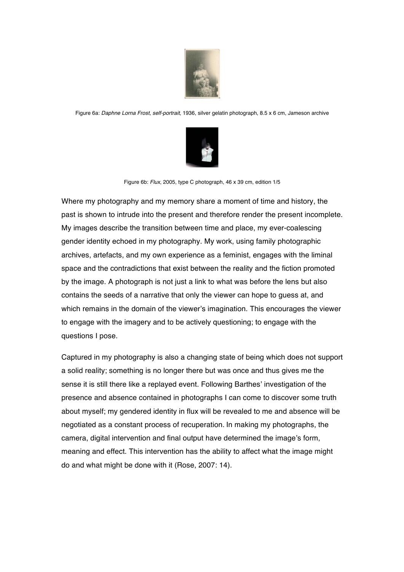

Figure 6a: *Daphne Lorna Frost, self-portrait*, 1936, silver gelatin photograph, 8.5 x 6 cm, Jameson archive



Figure 6b: *Flux*, 2005, type C photograph, 46 x 39 cm, edition 1/5

Where my photography and my memory share a moment of time and history, the past is shown to intrude into the present and therefore render the present incomplete. My images describe the transition between time and place, my ever-coalescing gender identity echoed in my photography. My work, using family photographic archives, artefacts, and my own experience as a feminist, engages with the liminal space and the contradictions that exist between the reality and the fiction promoted by the image. A photograph is not just a link to what was before the lens but also contains the seeds of a narrative that only the viewer can hope to guess at, and which remains in the domain of the viewer's imagination. This encourages the viewer to engage with the imagery and to be actively questioning; to engage with the questions I pose.

Captured in my photography is also a changing state of being which does not support a solid reality; something is no longer there but was once and thus gives me the sense it is still there like a replayed event. Following Barthes' investigation of the presence and absence contained in photographs I can come to discover some truth about myself; my gendered identity in flux will be revealed to me and absence will be negotiated as a constant process of recuperation. In making my photographs, the camera, digital intervention and final output have determined the image's form, meaning and effect. This intervention has the ability to affect what the image might do and what might be done with it (Rose, 2007: 14).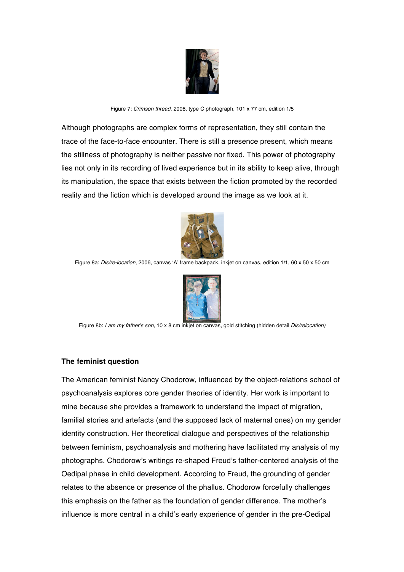

Figure 7: *Crimson thread*, 2008, type C photograph, 101 x 77 cm, edition 1/5

Although photographs are complex forms of representation, they still contain the trace of the face-to-face encounter. There is still a presence present, which means the stillness of photography is neither passive nor fixed. This power of photography lies not only in its recording of lived experience but in its ability to keep alive, through its manipulation, the space that exists between the fiction promoted by the recorded reality and the fiction which is developed around the image as we look at it.



Figure 8a: *Dis/re-location*, 2006, canvas 'A' frame backpack, inkjet on canvas, edition 1/1, 60 x 50 x 50 cm



Figure 8b: *I am my father's son,* 10 x 8 cm inkjet on canvas, gold stitching (hidden detail *Dis/relocation)*

## **The feminist question**

The American feminist Nancy Chodorow, influenced by the object-relations school of psychoanalysis explores core gender theories of identity. Her work is important to mine because she provides a framework to understand the impact of migration, familial stories and artefacts (and the supposed lack of maternal ones) on my gender identity construction. Her theoretical dialogue and perspectives of the relationship between feminism, psychoanalysis and mothering have facilitated my analysis of my photographs. Chodorow's writings re-shaped Freud's father-centered analysis of the Oedipal phase in child development. According to Freud, the grounding of gender relates to the absence or presence of the phallus. Chodorow forcefully challenges this emphasis on the father as the foundation of gender difference. The mother's influence is more central in a child's early experience of gender in the pre-Oedipal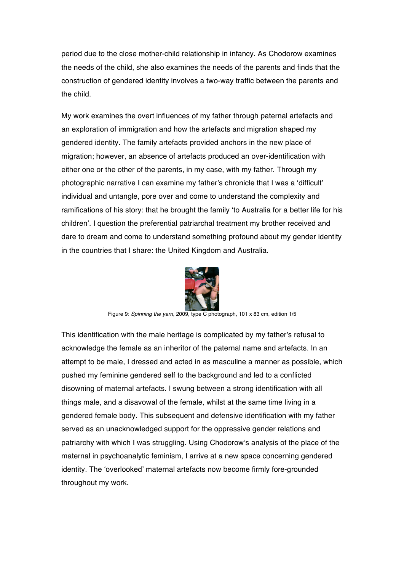period due to the close mother-child relationship in infancy. As Chodorow examines the needs of the child, she also examines the needs of the parents and finds that the construction of gendered identity involves a two-way traffic between the parents and the child.

My work examines the overt influences of my father through paternal artefacts and an exploration of immigration and how the artefacts and migration shaped my gendered identity. The family artefacts provided anchors in the new place of migration; however, an absence of artefacts produced an over-identification with either one or the other of the parents, in my case, with my father. Through my photographic narrative I can examine my father's chronicle that I was a 'difficult' individual and untangle, pore over and come to understand the complexity and ramifications of his story: that he brought the family 'to Australia for a better life for his children'. I question the preferential patriarchal treatment my brother received and dare to dream and come to understand something profound about my gender identity in the countries that I share: the United Kingdom and Australia.



Figure 9: *Spinning the yarn*, 2009, type C photograph, 101 x 83 cm, edition 1/5

This identification with the male heritage is complicated by my father's refusal to acknowledge the female as an inheritor of the paternal name and artefacts. In an attempt to be male, I dressed and acted in as masculine a manner as possible, which pushed my feminine gendered self to the background and led to a conflicted disowning of maternal artefacts. I swung between a strong identification with all things male, and a disavowal of the female, whilst at the same time living in a gendered female body. This subsequent and defensive identification with my father served as an unacknowledged support for the oppressive gender relations and patriarchy with which I was struggling. Using Chodorow's analysis of the place of the maternal in psychoanalytic feminism, I arrive at a new space concerning gendered identity. The 'overlooked' maternal artefacts now become firmly fore-grounded throughout my work.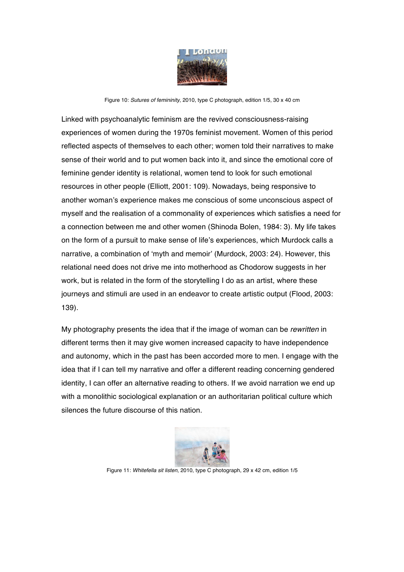

Figure 10: *Sutures of femininity*, 2010, type C photograph, edition 1/5, 30 x 40 cm

Linked with psychoanalytic feminism are the revived consciousness-raising experiences of women during the 1970s feminist movement. Women of this period reflected aspects of themselves to each other; women told their narratives to make sense of their world and to put women back into it, and since the emotional core of feminine gender identity is relational, women tend to look for such emotional resources in other people (Elliott, 2001: 109). Nowadays, being responsive to another woman's experience makes me conscious of some unconscious aspect of myself and the realisation of a commonality of experiences which satisfies a need for a connection between me and other women (Shinoda Bolen, 1984: 3). My life takes on the form of a pursuit to make sense of life's experiences, which Murdock calls a narrative, a combination of 'myth and memoir' (Murdock, 2003: 24). However, this relational need does not drive me into motherhood as Chodorow suggests in her work, but is related in the form of the storytelling I do as an artist, where these journeys and stimuli are used in an endeavor to create artistic output (Flood, 2003: 139).

My photography presents the idea that if the image of woman can be *rewritten* in different terms then it may give women increased capacity to have independence and autonomy, which in the past has been accorded more to men. I engage with the idea that if I can tell my narrative and offer a different reading concerning gendered identity, I can offer an alternative reading to others. If we avoid narration we end up with a monolithic sociological explanation or an authoritarian political culture which silences the future discourse of this nation.



Figure 11: *Whitefella sit listen*, 2010, type C photograph, 29 x 42 cm, edition 1/5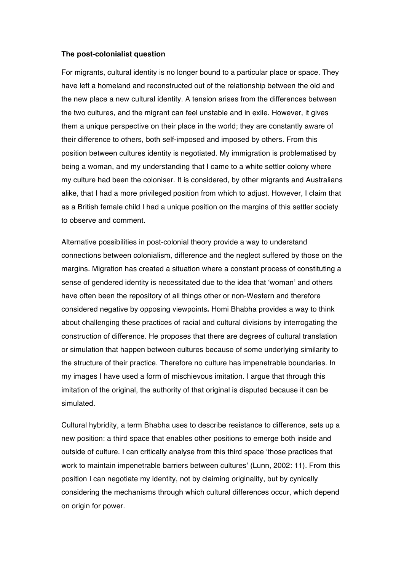#### **The post-colonialist question**

For migrants, cultural identity is no longer bound to a particular place or space. They have left a homeland and reconstructed out of the relationship between the old and the new place a new cultural identity. A tension arises from the differences between the two cultures, and the migrant can feel unstable and in exile. However, it gives them a unique perspective on their place in the world; they are constantly aware of their difference to others, both self-imposed and imposed by others. From this position between cultures identity is negotiated. My immigration is problematised by being a woman, and my understanding that I came to a white settler colony where my culture had been the coloniser. It is considered, by other migrants and Australians alike, that I had a more privileged position from which to adjust. However, I claim that as a British female child I had a unique position on the margins of this settler society to observe and comment.

Alternative possibilities in post-colonial theory provide a way to understand connections between colonialism, difference and the neglect suffered by those on the margins. Migration has created a situation where a constant process of constituting a sense of gendered identity is necessitated due to the idea that 'woman' and others have often been the repository of all things other or non-Western and therefore considered negative by opposing viewpoints**.** Homi Bhabha provides a way to think about challenging these practices of racial and cultural divisions by interrogating the construction of difference. He proposes that there are degrees of cultural translation or simulation that happen between cultures because of some underlying similarity to the structure of their practice. Therefore no culture has impenetrable boundaries. In my images I have used a form of mischievous imitation. I argue that through this imitation of the original, the authority of that original is disputed because it can be simulated.

Cultural hybridity, a term Bhabha uses to describe resistance to difference, sets up a new position: a third space that enables other positions to emerge both inside and outside of culture. I can critically analyse from this third space 'those practices that work to maintain impenetrable barriers between cultures' (Lunn, 2002: 11). From this position I can negotiate my identity, not by claiming originality, but by cynically considering the mechanisms through which cultural differences occur, which depend on origin for power.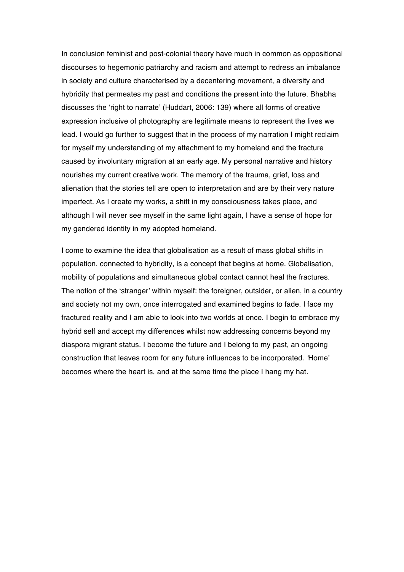In conclusion feminist and post-colonial theory have much in common as oppositional discourses to hegemonic patriarchy and racism and attempt to redress an imbalance in society and culture characterised by a decentering movement, a diversity and hybridity that permeates my past and conditions the present into the future. Bhabha discusses the 'right to narrate' (Huddart, 2006: 139) where all forms of creative expression inclusive of photography are legitimate means to represent the lives we lead. I would go further to suggest that in the process of my narration I might reclaim for myself my understanding of my attachment to my homeland and the fracture caused by involuntary migration at an early age. My personal narrative and history nourishes my current creative work. The memory of the trauma, grief, loss and alienation that the stories tell are open to interpretation and are by their very nature imperfect. As I create my works, a shift in my consciousness takes place, and although I will never see myself in the same light again, I have a sense of hope for my gendered identity in my adopted homeland.

I come to examine the idea that globalisation as a result of mass global shifts in population, connected to hybridity, is a concept that begins at home. Globalisation, mobility of populations and simultaneous global contact cannot heal the fractures. The notion of the 'stranger' within myself: the foreigner, outsider, or alien, in a country and society not my own, once interrogated and examined begins to fade. I face my fractured reality and I am able to look into two worlds at once. I begin to embrace my hybrid self and accept my differences whilst now addressing concerns beyond my diaspora migrant status. I become the future and I belong to my past, an ongoing construction that leaves room for any future influences to be incorporated. *'*Home' becomes where the heart is, and at the same time the place I hang my hat.